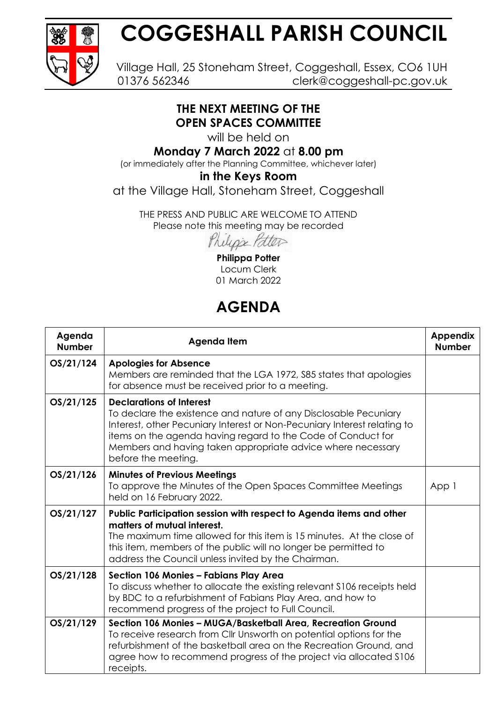

# **COGGESHALL PARISH COUNCIL**

Village Hall, 25 Stoneham Street, Coggeshall, Essex, CO6 1UH 01376 562346 clerk@coggeshall-pc.gov.uk

#### **THE NEXT MEETING OF THE OPEN SPACES COMMITTEE**

will be held on

### **Monday 7 March 2022** at **8.00 pm**

(or immediately after the Planning Committee, whichever later)

#### **in the Keys Room**

at the Village Hall, Stoneham Street, Coggeshall

THE PRESS AND PUBLIC ARE WELCOME TO ATTEND Please note this meeting may be recorded

Philippe Patter

**Philippa Potter** Locum Clerk 01 March 2022

## **AGENDA**

| Agenda<br><b>Number</b> | Agenda Item                                                                                                                                                                                                                                                                                                                           | <b>Appendix</b><br><b>Number</b> |
|-------------------------|---------------------------------------------------------------------------------------------------------------------------------------------------------------------------------------------------------------------------------------------------------------------------------------------------------------------------------------|----------------------------------|
| OS/21/124               | <b>Apologies for Absence</b><br>Members are reminded that the LGA 1972, S85 states that apologies<br>for absence must be received prior to a meeting.                                                                                                                                                                                 |                                  |
| OS/21/125               | <b>Declarations of Interest</b><br>To declare the existence and nature of any Disclosable Pecuniary<br>Interest, other Pecuniary Interest or Non-Pecuniary Interest relating to<br>items on the agenda having regard to the Code of Conduct for<br>Members and having taken appropriate advice where necessary<br>before the meeting. |                                  |
| OS/21/126               | <b>Minutes of Previous Meetings</b><br>To approve the Minutes of the Open Spaces Committee Meetings<br>held on 16 February 2022.                                                                                                                                                                                                      | App 1                            |
| OS/21/127               | Public Participation session with respect to Agenda items and other<br>matters of mutual interest.<br>The maximum time allowed for this item is 15 minutes. At the close of<br>this item, members of the public will no longer be permitted to<br>address the Council unless invited by the Chairman.                                 |                                  |
| OS/21/128               | Section 106 Monies - Fabians Play Area<br>To discuss whether to allocate the existing relevant \$106 receipts held<br>by BDC to a refurbishment of Fabians Play Area, and how to<br>recommend progress of the project to Full Council.                                                                                                |                                  |
| OS/21/129               | Section 106 Monies - MUGA/Basketball Area, Recreation Ground<br>To receive research from CIIr Unsworth on potential options for the<br>refurbishment of the basketball area on the Recreation Ground, and<br>agree how to recommend progress of the project via allocated \$106<br>receipts.                                          |                                  |